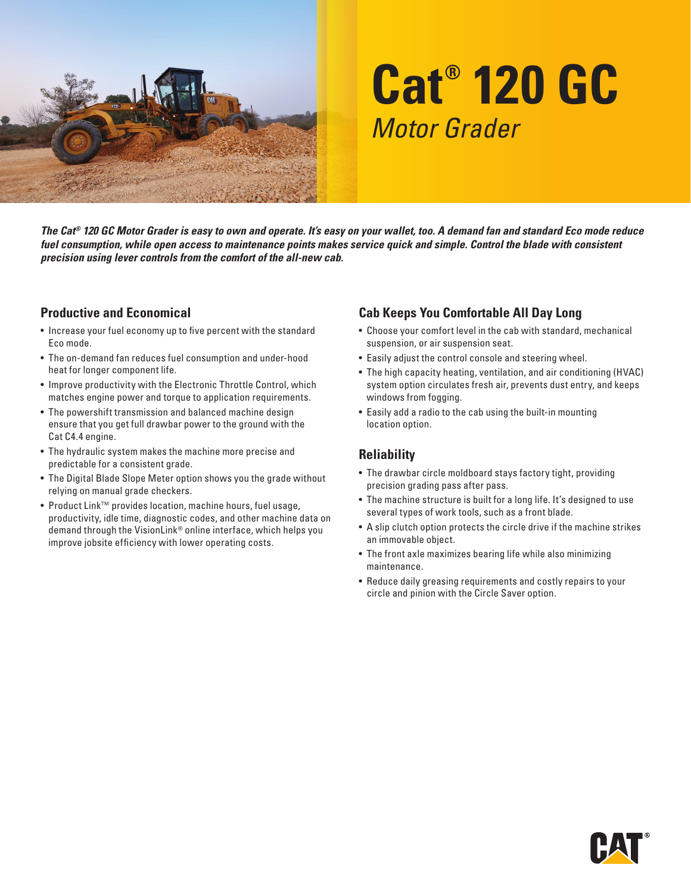

# **Cat® 120 GC** *Motor Grader*

*The Cat® 120 GC Motor Grader is easy to own and operate. It's easy on your wallet, too. A demand fan and standard Eco mode reduce fuel consumption, while open access to maintenance points makes service quick and simple. Control the blade with consistent precision using lever controls from the comfort of the all-new cab.*

### **Productive and Economical**

- Increase your fuel economy up to five percent with the standard Eco mode.
- The on-demand fan reduces fuel consumption and under-hood heat for longer component life.
- Improve productivity with the Electronic Throttle Control, which matches engine power and torque to application requirements.
- The powershift transmission and balanced machine design ensure that you get full drawbar power to the ground with the Cat C4.4 engine.
- The hydraulic system makes the machine more precise and predictable for a consistent grade.
- The Digital Blade Slope Meter option shows you the grade without relying on manual grade checkers.
- Product Link™ provides location, machine hours, fuel usage, productivity, idle time, diagnostic codes, and other machine data on demand through the VisionLink® online interface, which helps you improve jobsite efficiency with lower operating costs.

## **Cab Keeps You Comfortable All Day Long**

- Choose your comfort level in the cab with standard, mechanical suspension, or air suspension seat.
- Easily adjust the control console and steering wheel.
- The high capacity heating, ventilation, and air conditioning (HVAC) system option circulates fresh air, prevents dust entry, and keeps windows from fogging.
- Easily add a radio to the cab using the built-in mounting location option.

## **Reliability**

- The drawbar circle moldboard stays factory tight, providing precision grading pass after pass.
- The machine structure is built for a long life. It's designed to use several types of work tools, such as a front blade.
- A slip clutch option protects the circle drive if the machine strikes an immovable object.
- The front axle maximizes bearing life while also minimizing maintenance.
- Reduce daily greasing requirements and costly repairs to your circle and pinion with the Circle Saver option.

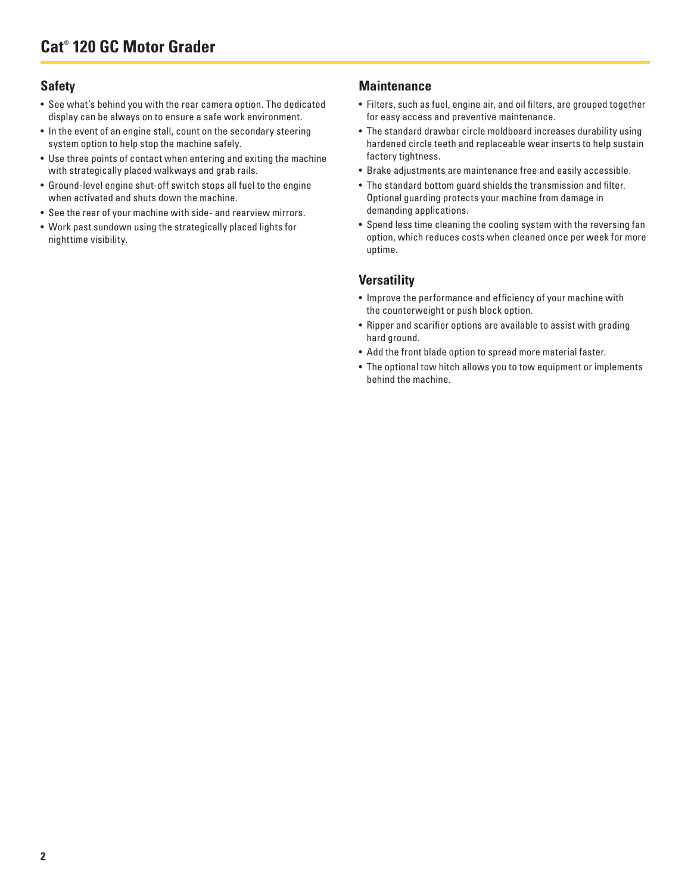### **Safety**

- See what's behind you with the rear camera option. The dedicated display can be always on to ensure a safe work environment.
- In the event of an engine stall, count on the secondary steering system option to help stop the machine safely.
- Use three points of contact when entering and exiting the machine with strategically placed walkways and grab rails.
- Ground-level engine shut-off switch stops all fuel to the engine when activated and shuts down the machine.
- See the rear of your machine with side- and rearview mirrors.
- Work past sundown using the strategically placed lights for nighttime visibility.

#### **Maintenance**

- Filters, such as fuel, engine air, and oil filters, are grouped together for easy access and preventive maintenance.
- The standard drawbar circle moldboard increases durability using hardened circle teeth and replaceable wear inserts to help sustain factory tightness.
- Brake adjustments are maintenance free and easily accessible.
- The standard bottom guard shields the transmission and filter. Optional guarding protects your machine from damage in demanding applications.
- Spend less time cleaning the cooling system with the reversing fan option, which reduces costs when cleaned once per week for more uptime.

#### **Versatility**

- Improve the performance and efficiency of your machine with the counterweight or push block option.
- Ripper and scarifier options are available to assist with grading hard ground.
- Add the front blade option to spread more material faster.
- The optional tow hitch allows you to tow equipment or implements behind the machine.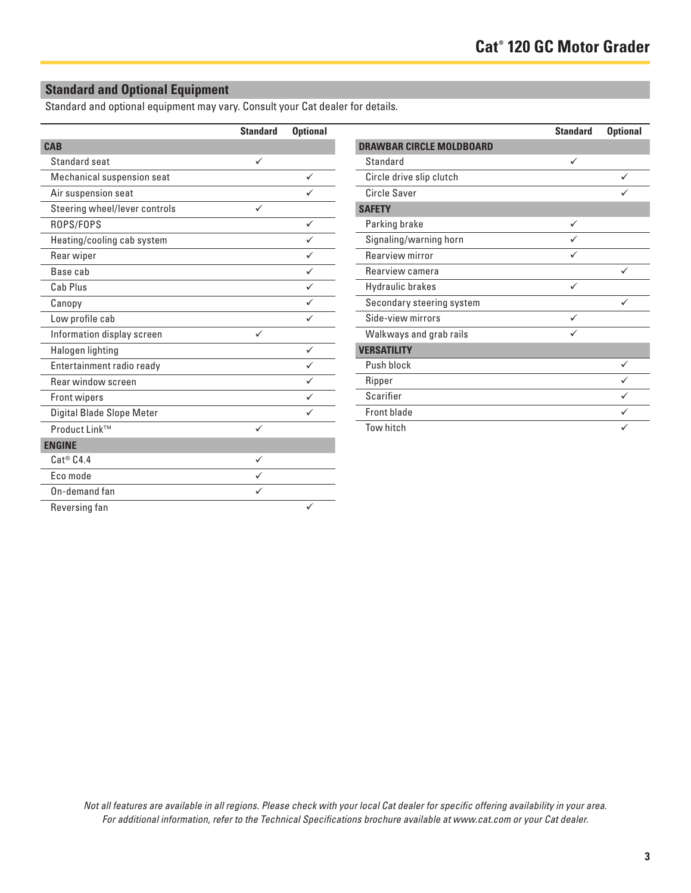## **Standard and Optional Equipment**

Standard and optional equipment may vary. Consult your Cat dealer for details.

|                               | <b>Standard</b> | <b>Optional</b> |
|-------------------------------|-----------------|-----------------|
| <b>CAB</b>                    |                 |                 |
| Standard seat                 | ✓               |                 |
| Mechanical suspension seat    |                 | ✓               |
| Air suspension seat           |                 |                 |
| Steering wheel/lever controls | ✓               |                 |
| ROPS/FOPS                     |                 | ✓               |
| Heating/cooling cab system    |                 | ✓               |
| Rear wiper                    |                 |                 |
| Base cab                      |                 |                 |
| Cab Plus                      |                 |                 |
| Canopy                        |                 | ✓               |
| Low profile cab               |                 |                 |
| Information display screen    | ✓               |                 |
| Halogen lighting              |                 |                 |
| Entertainment radio ready     |                 |                 |
| Rear window screen            |                 |                 |
| <b>Front wipers</b>           |                 |                 |
| Digital Blade Slope Meter     |                 |                 |
| Product Link™                 | ✓               |                 |
| <b>ENGINE</b>                 |                 |                 |
| $Cat^@$ $C4.4$                | ✓               |                 |
| Eco mode                      |                 |                 |
| On-demand fan                 |                 |                 |
| Reversing fan                 |                 |                 |

|                                 | <b>Standard</b> | <b>Optional</b> |
|---------------------------------|-----------------|-----------------|
| <b>DRAWBAR CIRCLE MOLDBOARD</b> |                 |                 |
| Standard                        | ✓               |                 |
| Circle drive slip clutch        |                 |                 |
| Circle Saver                    |                 |                 |
| <b>SAFETY</b>                   |                 |                 |
| Parking brake                   | ✓               |                 |
| Signaling/warning horn          |                 |                 |
| Rearview mirror                 | ✓               |                 |
| Rearview camera                 |                 | ✓               |
| Hydraulic brakes                |                 |                 |
| Secondary steering system       |                 |                 |
| Side-view mirrors               |                 |                 |
| Walkways and grab rails         |                 |                 |
| <b>VERSATILITY</b>              |                 |                 |
| Push block                      |                 | ✓               |
| Ripper                          |                 |                 |
| Scarifier                       |                 |                 |
| Front blade                     |                 |                 |
| Tow hitch                       |                 |                 |

*Not all features are available in all regions. Please check with your local Cat dealer for specific offering availability in your area. For additional information, refer to the Technical Specifications brochure available at www.cat.com or your Cat dealer.*